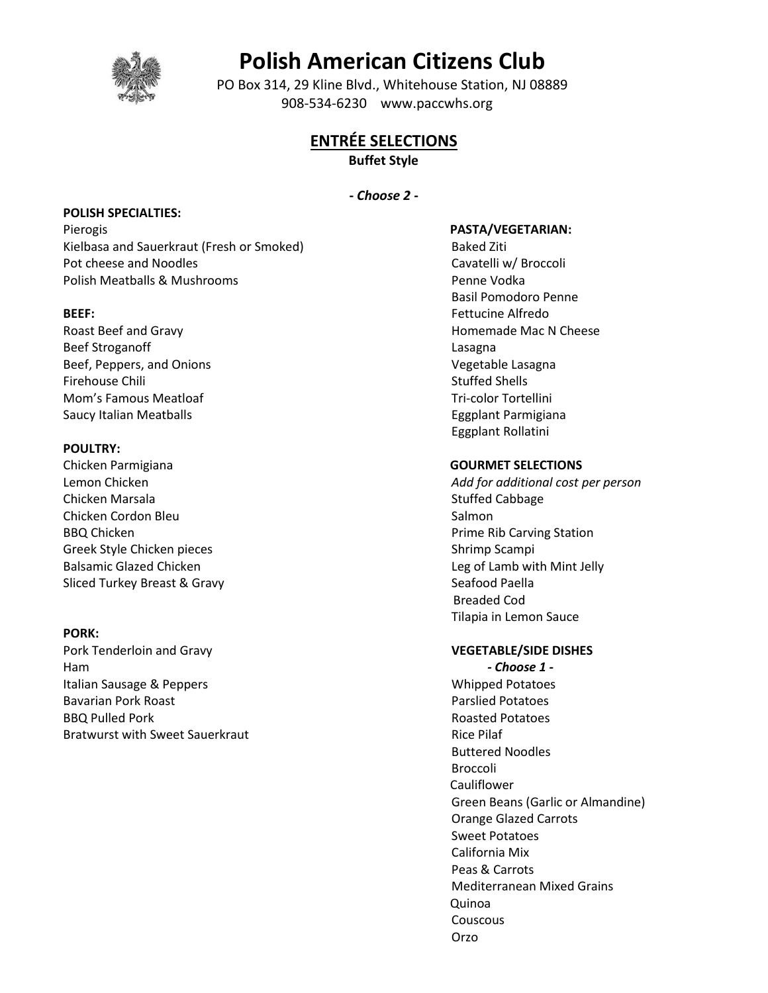

# **Polish American Citizens Club**

 PO Box 314, 29 Kline Blvd., Whitehouse Station, NJ 08889 908-534-6230 www.paccwhs.org

# **ENTRÉE SELECTIONS**

**Buffet Style**

# **-** *Choose 2* **-**

# **POLISH SPECIALTIES:**

Pierogis Kielbasa and Sauerkraut (Fresh or Smoked) Pot cheese and Noodles Polish Meatballs & Mushrooms

# **BEEF:**

Roast Beef and Gravy Beef Stroganoff Beef, Peppers, and Onions Firehouse Chili Mom's Famous Meatloaf Saucy Italian Meatballs

# **POULTRY:**

Chicken Parmigiana Lemon Chicken Chicken Marsala Chicken Cordon Bleu BBQ Chicken Greek Style Chicken pieces Balsamic Glazed Chicken Sliced Turkey Breast & Gravy

# **PORK:**

Pork Tenderloin and Gravy Ham Italian Sausage & Peppers Bavarian Pork Roast BBQ Pulled Pork Bratwurst with Sweet Sauerkraut

#### **PASTA/VEGETARIAN:**

Baked Ziti Cavatelli w/ Broccoli Penne Vodka Basil Pomodoro Penne Fettucine Alfredo Homemade Mac N Cheese Lasagna Vegetable Lasagna Stuffed Shells Tri-color Tortellini Eggplant Parmigiana Eggplant Rollatini

#### **GOURMET SELECTIONS**

*Add for additional cost per person* Stuffed Cabbage Salmon Prime Rib Carving Station Shrimp Scampi Leg of Lamb with Mint Jelly Seafood Paella Breaded Cod Tilapia in Lemon Sauce

# **VEGETABLE/SIDE DISHES**

 *- Choose 1 -* Whipped Potatoes Parslied Potatoes Roasted Potatoes Rice Pilaf Buttered Noodles Broccoli **Cauliflower** Green Beans (Garlic or Almandine) Orange Glazed Carrots Sweet Potatoes California Mix Peas & Carrots Mediterranean Mixed Grains Quinoa Couscous Orzo